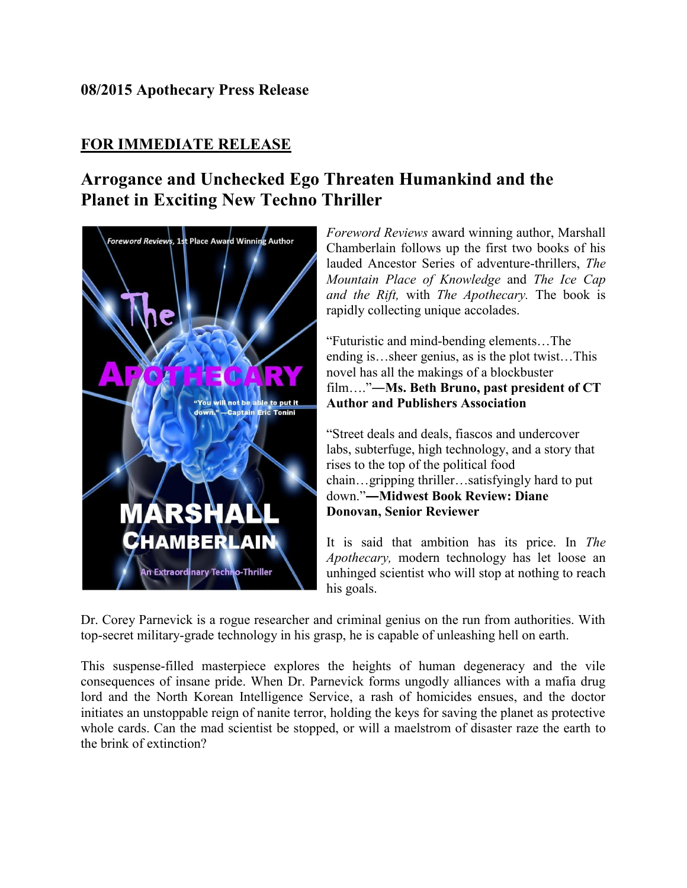## **08/2015 Apothecary Press Release**

## **FOR IMMEDIATE RELEASE**

## **Arrogance and Unchecked Ego Threaten Humankind and the Planet in Exciting New Techno Thriller**



*Foreword Reviews* award winning author, Marshall Chamberlain follows up the first two books of his lauded Ancestor Series of adventure-thrillers, *The Mountain Place of Knowledge* and *The Ice Cap and the Rift,* with *The Apothecary.* The book is rapidly collecting unique accolades.

"Futuristic and mind-bending elements…The ending is…sheer genius, as is the plot twist…This novel has all the makings of a blockbuster film…."**―Ms. Beth Bruno, past president of CT Author and Publishers Association**

"Street deals and deals, fiascos and undercover labs, subterfuge, high technology, and a story that rises to the top of the political food chain…gripping thriller…satisfyingly hard to put down."**―Midwest Book Review: Diane Donovan, Senior Reviewer**

It is said that ambition has its price. In *The Apothecary,* modern technology has let loose an unhinged scientist who will stop at nothing to reach his goals.

Dr. Corey Parnevick is a rogue researcher and criminal genius on the run from authorities. With top-secret military-grade technology in his grasp, he is capable of unleashing hell on earth.

This suspense-filled masterpiece explores the heights of human degeneracy and the vile consequences of insane pride. When Dr. Parnevick forms ungodly alliances with a mafia drug lord and the North Korean Intelligence Service, a rash of homicides ensues, and the doctor initiates an unstoppable reign of nanite terror, holding the keys for saving the planet as protective whole cards. Can the mad scientist be stopped, or will a maelstrom of disaster raze the earth to the brink of extinction?